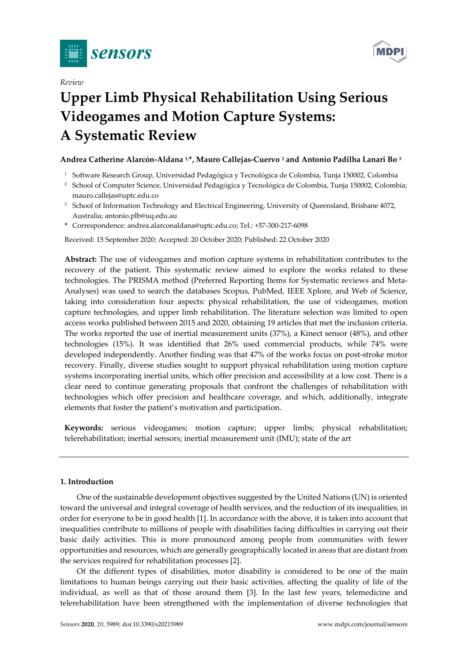

*Review* 



# **Upper Limb Physical Rehabilitation Using Serious Videogames and Motion Capture Systems: A Systematic Review**

# **Andrea Catherine Alarcón-Aldana 1,\*, Mauro Callejas-Cuervo 2 and Antonio Padilha Lanari Bo 3**

- <sup>1</sup> Software Research Group, Universidad Pedagógica y Tecnológica de Colombia, Tunja 150002, Colombia
- 2 School of Computer Science, Universidad Pedagógica y Tecnológica de Colombia, Tunja 150002, Colombia; mauro.callejas@uptc.edu.co
- <sup>3</sup> School of Information Technology and Electrical Engineering, University of Queensland, Brisbane 4072, Australia; antonio.plb@uq.edu.au
- **\*** Correspondence: andrea.alarconaldana@uptc.edu.co; Tel.: +57-300-217-6098

Received: 15 September 2020; Accepted: 20 October 2020; Published: 22 October 2020

**Abstract:** The use of videogames and motion capture systems in rehabilitation contributes to the recovery of the patient. This systematic review aimed to explore the works related to these technologies. The PRISMA method (Preferred Reporting Items for Systematic reviews and Meta-Analyses) was used to search the databases Scopus, PubMed, IEEE Xplore, and Web of Science, taking into consideration four aspects: physical rehabilitation, the use of videogames, motion capture technologies, and upper limb rehabilitation. The literature selection was limited to open access works published between 2015 and 2020, obtaining 19 articles that met the inclusion criteria. The works reported the use of inertial measurement units (37%), a Kinect sensor (48%), and other technologies (15%). It was identified that 26% used commercial products, while 74% were developed independently. Another finding was that 47% of the works focus on post-stroke motor recovery. Finally, diverse studies sought to support physical rehabilitation using motion capture systems incorporating inertial units, which offer precision and accessibility at a low cost. There is a clear need to continue generating proposals that confront the challenges of rehabilitation with technologies which offer precision and healthcare coverage, and which, additionally, integrate elements that foster the patient's motivation and participation.

**Keywords:** serious videogames; motion capture; upper limbs; physical rehabilitation; telerehabilitation; inertial sensors; inertial measurement unit (IMU); state of the art

# **1. Introduction**

One of the sustainable development objectives suggested by the United Nations (UN) is oriented toward the universal and integral coverage of health services, and the reduction of its inequalities, in order for everyone to be in good health [1]. In accordance with the above, it is taken into account that inequalities contribute to millions of people with disabilities facing difficulties in carrying out their basic daily activities. This is more pronounced among people from communities with fewer opportunities and resources, which are generally geographically located in areas that are distant from the services required for rehabilitation processes [2].

Of the different types of disabilities, motor disability is considered to be one of the main limitations to human beings carrying out their basic activities, affecting the quality of life of the individual, as well as that of those around them [3]. In the last few years, telemedicine and telerehabilitation have been strengthened with the implementation of diverse technologies that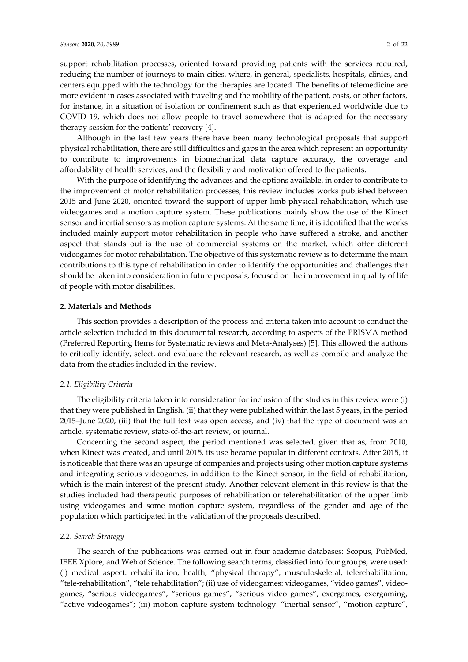support rehabilitation processes, oriented toward providing patients with the services required, reducing the number of journeys to main cities, where, in general, specialists, hospitals, clinics, and centers equipped with the technology for the therapies are located. The benefits of telemedicine are more evident in cases associated with traveling and the mobility of the patient, costs, or other factors, for instance, in a situation of isolation or confinement such as that experienced worldwide due to COVID 19, which does not allow people to travel somewhere that is adapted for the necessary therapy session for the patients' recovery [4].

Although in the last few years there have been many technological proposals that support physical rehabilitation, there are still difficulties and gaps in the area which represent an opportunity to contribute to improvements in biomechanical data capture accuracy, the coverage and affordability of health services, and the flexibility and motivation offered to the patients.

With the purpose of identifying the advances and the options available, in order to contribute to the improvement of motor rehabilitation processes, this review includes works published between 2015 and June 2020, oriented toward the support of upper limb physical rehabilitation, which use videogames and a motion capture system. These publications mainly show the use of the Kinect sensor and inertial sensors as motion capture systems. At the same time, it is identified that the works included mainly support motor rehabilitation in people who have suffered a stroke, and another aspect that stands out is the use of commercial systems on the market, which offer different videogames for motor rehabilitation. The objective of this systematic review is to determine the main contributions to this type of rehabilitation in order to identify the opportunities and challenges that should be taken into consideration in future proposals, focused on the improvement in quality of life of people with motor disabilities.

## **2. Materials and Methods**

This section provides a description of the process and criteria taken into account to conduct the article selection included in this documental research, according to aspects of the PRISMA method (Preferred Reporting Items for Systematic reviews and Meta-Analyses) [5]. This allowed the authors to critically identify, select, and evaluate the relevant research, as well as compile and analyze the data from the studies included in the review.

## *2.1. Eligibility Criteria*

The eligibility criteria taken into consideration for inclusion of the studies in this review were (i) that they were published in English, (ii) that they were published within the last 5 years, in the period 2015–June 2020, (iii) that the full text was open access, and (iv) that the type of document was an article, systematic review, state-of-the-art review, or journal.

Concerning the second aspect, the period mentioned was selected, given that as, from 2010, when Kinect was created, and until 2015, its use became popular in different contexts. After 2015, it is noticeable that there was an upsurge of companies and projects using other motion capture systems and integrating serious videogames, in addition to the Kinect sensor, in the field of rehabilitation, which is the main interest of the present study. Another relevant element in this review is that the studies included had therapeutic purposes of rehabilitation or telerehabilitation of the upper limb using videogames and some motion capture system, regardless of the gender and age of the population which participated in the validation of the proposals described.

## *2.2. Search Strategy*

The search of the publications was carried out in four academic databases: Scopus, PubMed, IEEE Xplore, and Web of Science. The following search terms, classified into four groups, were used: (i) medical aspect: rehabilitation, health, "physical therapy", musculoskeletal, telerehabilitation, "tele-rehabilitation", "tele rehabilitation"; (ii) use of videogames: videogames, "video games", videogames, "serious videogames", "serious games", "serious video games", exergames, exergaming, "active videogames"; (iii) motion capture system technology: "inertial sensor", "motion capture",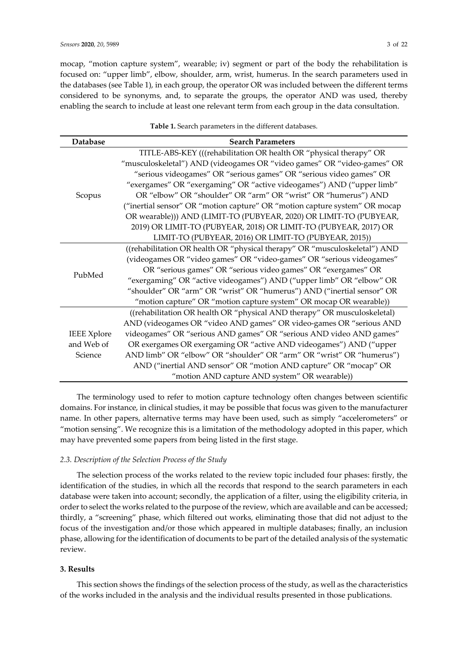mocap, "motion capture system", wearable; iv) segment or part of the body the rehabilitation is focused on: "upper limb", elbow, shoulder, arm, wrist, humerus. In the search parameters used in the databases (see Table 1), in each group, the operator OR was included between the different terms considered to be synonyms, and, to separate the groups, the operator AND was used, thereby enabling the search to include at least one relevant term from each group in the data consultation.

| Database           | <b>Search Parameters</b>                                                   |
|--------------------|----------------------------------------------------------------------------|
|                    | TITLE-ABS-KEY (((rehabilitation OR health OR "physical therapy" OR         |
| Scopus             | "musculoskeletal") AND (videogames OR "video games" OR "video-games" OR    |
|                    | "serious videogames" OR "serious games" OR "serious video games" OR        |
|                    | "exergames" OR "exergaming" OR "active videogames") AND ("upper limb"      |
|                    | OR "elbow" OR "shoulder" OR "arm" OR "wrist" OR "humerus") AND             |
|                    | ("inertial sensor" OR "motion capture" OR "motion capture system" OR mocap |
|                    | OR wearable))) AND (LIMIT-TO (PUBYEAR, 2020) OR LIMIT-TO (PUBYEAR,         |
|                    | 2019) OR LIMIT-TO (PUBYEAR, 2018) OR LIMIT-TO (PUBYEAR, 2017) OR           |
|                    | LIMIT-TO (PUBYEAR, 2016) OR LIMIT-TO (PUBYEAR, 2015))                      |
|                    | ((rehabilitation OR health OR "physical therapy" OR "musculoskeletal") AND |
| PubMed             | (videogames OR "video games" OR "video-games" OR "serious videogames"      |
|                    | OR "serious games" OR "serious video games" OR "exergames" OR              |
|                    | "exergaming" OR "active videogames") AND ("upper limb" OR "elbow" OR       |
|                    | "shoulder" OR "arm" OR "wrist" OR "humerus") AND ("inertial sensor" OR     |
|                    | "motion capture" OR "motion capture system" OR mocap OR wearable))         |
|                    | ((rehabilitation OR health OR "physical AND therapy" OR musculoskeletal)   |
| <b>IEEE</b> Xplore | AND (videogames OR "video AND games" OR video-games OR "serious AND        |
|                    | videogames" OR "serious AND games" OR "serious AND video AND games"        |
| and Web of         | OR exergames OR exergaming OR "active AND videogames") AND ("upper         |
| Science            | AND limb" OR "elbow" OR "shoulder" OR "arm" OR "wrist" OR "humerus")       |
|                    | AND ("inertial AND sensor" OR "motion AND capture" OR "mocap" OR           |
|                    | "motion AND capture AND system" OR wearable))                              |

**Table 1.** Search parameters in the different databases.

The terminology used to refer to motion capture technology often changes between scientific domains. For instance, in clinical studies, it may be possible that focus was given to the manufacturer name. In other papers, alternative terms may have been used, such as simply "accelerometers" or "motion sensing". We recognize this is a limitation of the methodology adopted in this paper, which may have prevented some papers from being listed in the first stage.

## *2.3. Description of the Selection Process of the Study*

The selection process of the works related to the review topic included four phases: firstly, the identification of the studies, in which all the records that respond to the search parameters in each database were taken into account; secondly, the application of a filter, using the eligibility criteria, in order to select the works related to the purpose of the review, which are available and can be accessed; thirdly, a "screening" phase, which filtered out works, eliminating those that did not adjust to the focus of the investigation and/or those which appeared in multiple databases; finally, an inclusion phase, allowing for the identification of documents to be part of the detailed analysis of the systematic review.

## **3. Results**

This section shows the findings of the selection process of the study, as well as the characteristics of the works included in the analysis and the individual results presented in those publications.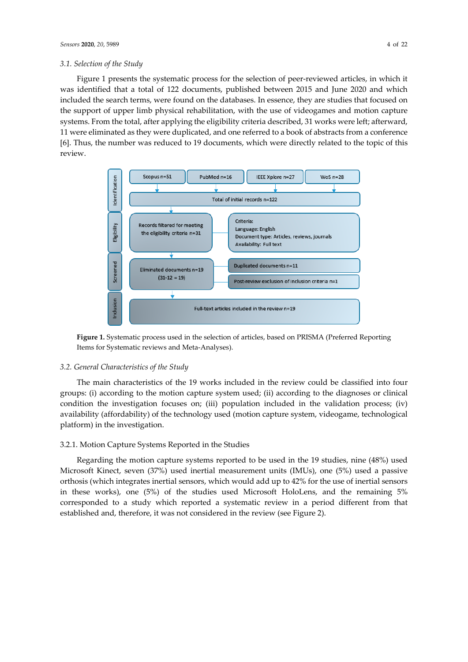Figure 1 presents the systematic process for the selection of peer-reviewed articles, in which it was identified that a total of 122 documents, published between 2015 and June 2020 and which included the search terms, were found on the databases. In essence, they are studies that focused on the support of upper limb physical rehabilitation, with the use of videogames and motion capture systems. From the total, after applying the eligibility criteria described, 31 works were left; afterward, 11 were eliminated as they were duplicated, and one referred to a book of abstracts from a conference [6]. Thus, the number was reduced to 19 documents, which were directly related to the topic of this review.



**Figure 1.** Systematic process used in the selection of articles, based on PRISMA (Preferred Reporting Items for Systematic reviews and Meta-Analyses).

## *3.2. General Characteristics of the Study*

The main characteristics of the 19 works included in the review could be classified into four groups: (i) according to the motion capture system used; (ii) according to the diagnoses or clinical condition the investigation focuses on; (iii) population included in the validation process; (iv) availability (affordability) of the technology used (motion capture system, videogame, technological platform) in the investigation.

## 3.2.1. Motion Capture Systems Reported in the Studies

Regarding the motion capture systems reported to be used in the 19 studies, nine (48%) used Microsoft Kinect, seven (37%) used inertial measurement units (IMUs), one (5%) used a passive orthosis (which integrates inertial sensors, which would add up to 42% for the use of inertial sensors in these works), one (5%) of the studies used Microsoft HoloLens, and the remaining 5% corresponded to a study which reported a systematic review in a period different from that established and, therefore, it was not considered in the review (see Figure 2).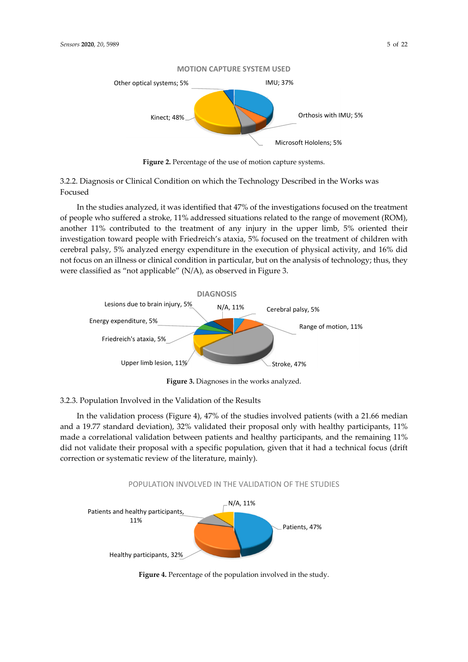

Figure 2. Percentage of the use of motion capture systems.

3.2.2. Diagnosis or Clinical Condition on which the Technology Described in the Works was Focused

In the studies analyzed, it was identified that 47% of the investigations focused on the treatment of people who suffered a stroke, 11% addressed situations related to the range of movement (ROM), another 11% contributed to the treatment of any injury in the upper limb, 5% oriented their investigation toward people with Friedreich's ataxia, 5% focused on the treatment of children with cerebral palsy, 5% analyzed energy expenditure in the execution of physical activity, and 16% did not focus on an illness or clinical condition in particular, but on the analysis of technology; thus, they were classified as "not applicable" (N/A), as observed in Figure 3.



**Figure 3.** Diagnoses in the works analyzed.

## 3.2.3. Population Involved in the Validation of the Results

In the validation process (Figure 4), 47% of the studies involved patients (with a 21.66 median and a 19.77 standard deviation), 32% validated their proposal only with healthy participants, 11% made a correlational validation between patients and healthy participants, and the remaining 11% did not validate their proposal with a specific population, given that it had a technical focus (drift correction or systematic review of the literature, mainly).

POPULATION INVOLVED IN THE VALIDATION OF THE STUDIES



**Figure 4.** Percentage of the population involved in the study.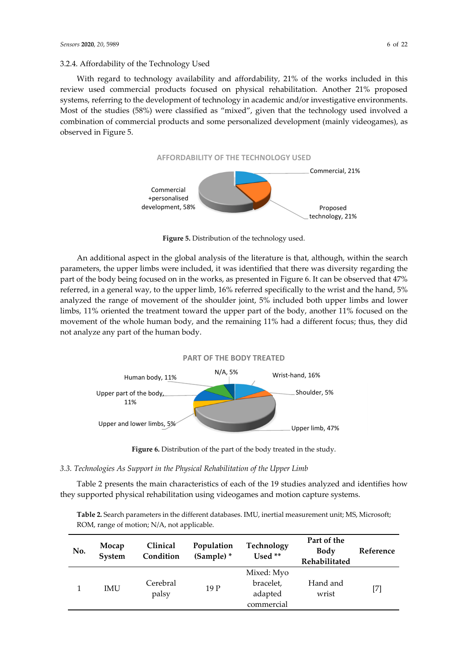## 3.2.4. Affordability of the Technology Used

With regard to technology availability and affordability, 21% of the works included in this review used commercial products focused on physical rehabilitation. Another 21% proposed systems, referring to the development of technology in academic and/or investigative environments. Most of the studies (58%) were classified as "mixed", given that the technology used involved a combination of commercial products and some personalized development (mainly videogames), as observed in Figure 5.

#### **AFFORDABILITY OF THE TECHNOLOGY USED**



**Figure 5.** Distribution of the technology used.

An additional aspect in the global analysis of the literature is that, although, within the search parameters, the upper limbs were included, it was identified that there was diversity regarding the part of the body being focused on in the works, as presented in Figure 6. It can be observed that 47% referred, in a general way, to the upper limb, 16% referred specifically to the wrist and the hand, 5% analyzed the range of movement of the shoulder joint, 5% included both upper limbs and lower limbs, 11% oriented the treatment toward the upper part of the body, another 11% focused on the movement of the whole human body, and the remaining 11% had a different focus; thus, they did not analyze any part of the human body.



**Figure 6.** Distribution of the part of the body treated in the study.

## *3.3. Technologies As Support in the Physical Rehabilitation of the Upper Limb*

Table 2 presents the main characteristics of each of the 19 studies analyzed and identifies how they supported physical rehabilitation using videogames and motion capture systems.

**Table 2.** Search parameters in the different databases. IMU, inertial measurement unit; MS, Microsoft; ROM, range of motion; N/A, not applicable.

| No.<br>System |     | Condition         | (Sample) * | Used **                                          | <b>Body</b><br>Rehabilitated | Reference |
|---------------|-----|-------------------|------------|--------------------------------------------------|------------------------------|-----------|
|               | IMU | Cerebral<br>palsy | 19P        | Mixed: Myo<br>bracelet,<br>adapted<br>commercial | Hand and<br>wrist            | $[7]$     |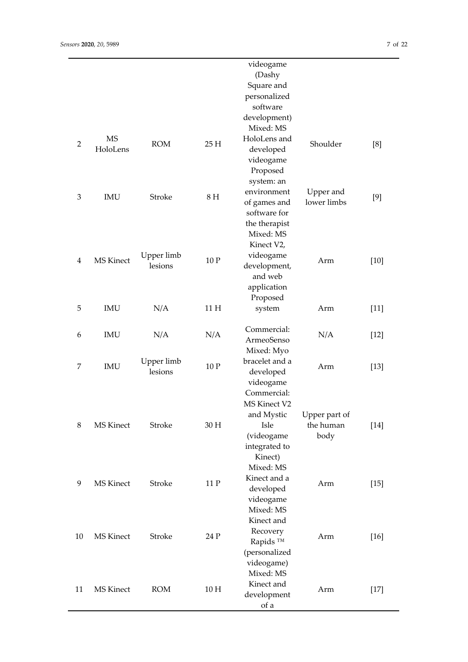|                |                  |                       |                  | videogame               |               |        |
|----------------|------------------|-----------------------|------------------|-------------------------|---------------|--------|
|                |                  |                       |                  | (Dashy                  |               |        |
|                |                  |                       |                  | Square and              |               |        |
|                |                  |                       |                  | personalized            |               |        |
|                |                  |                       |                  | software                |               |        |
|                |                  |                       |                  | development)            |               |        |
|                |                  |                       |                  | Mixed: MS               |               |        |
| $\overline{2}$ | <b>MS</b>        | <b>ROM</b>            | 25 H             | HoloLens and            | Shoulder      | [8]    |
|                | HoloLens         |                       |                  | developed               |               |        |
|                |                  |                       |                  | videogame               |               |        |
|                |                  |                       |                  | Proposed                |               |        |
|                |                  |                       |                  | system: an              |               |        |
| 3              | <b>IMU</b>       | Stroke                | $8\,\mathrm{H}$  | environment             | Upper and     | [9]    |
|                |                  |                       |                  | of games and            | lower limbs   |        |
|                |                  |                       |                  | software for            |               |        |
|                |                  |                       |                  | the therapist           |               |        |
|                |                  |                       |                  | Mixed: MS               |               |        |
|                |                  |                       |                  | Kinect V2,              |               |        |
| $\overline{4}$ | <b>MS</b> Kinect | Upper limb<br>lesions | 10 P             | videogame               | Arm           | $[10]$ |
|                |                  |                       |                  | development,<br>and web |               |        |
|                |                  |                       |                  | application             |               |        |
|                |                  |                       |                  | Proposed                |               |        |
| 5              | IMU              | N/A                   | 11 H             | system                  | Arm           | $[11]$ |
|                |                  |                       |                  |                         |               |        |
|                |                  |                       |                  | Commercial:             |               |        |
| 6              | IMU              | N/A                   | N/A              | ArmeoSenso              | N/A           | $[12]$ |
|                |                  |                       |                  | Mixed: Myo              |               |        |
|                |                  | Upper limb            |                  | bracelet and a          |               |        |
| 7              | <b>IMU</b>       | lesions               | $10\ \mathrm{P}$ | developed               | Arm           | $[13]$ |
|                |                  |                       |                  | videogame               |               |        |
|                |                  |                       |                  | Commercial:             |               |        |
|                |                  |                       |                  | MS Kinect V2            |               |        |
|                |                  |                       |                  | and Mystic              | Upper part of |        |
| 8              | MS Kinect        | Stroke                | 30 H             | Isle                    | the human     | $[14]$ |
|                |                  |                       |                  | (videogame              | body          |        |
|                |                  |                       |                  | integrated to           |               |        |
|                |                  |                       |                  | Kinect)                 |               |        |
|                |                  |                       |                  | Mixed: MS               |               |        |
| 9              | <b>MS</b> Kinect | Stroke                | 11 P             | Kinect and a            | Arm           | $[15]$ |
|                |                  |                       |                  | developed               |               |        |
|                |                  |                       |                  | videogame               |               |        |
|                |                  |                       |                  | Mixed: MS               |               |        |
|                |                  |                       |                  | Kinect and              |               |        |
| 10             | MS Kinect        | Stroke                | 24 P             | Recovery                | Arm           | $[16]$ |
|                |                  |                       |                  | Rapids <sup>™</sup>     |               |        |
|                |                  |                       |                  | (personalized           |               |        |
|                |                  |                       |                  | videogame)              |               |        |
|                |                  |                       |                  | Mixed: MS               |               |        |
| 11             | MS Kinect        | <b>ROM</b>            | 10H              | Kinect and              | Arm           | $[17]$ |
|                |                  |                       |                  | development             |               |        |
|                |                  |                       |                  | of a                    |               |        |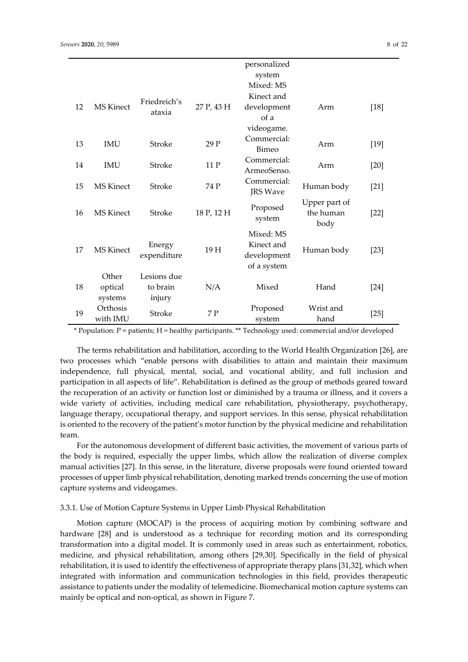|    |                     |                         |            | personalized    |               |        |
|----|---------------------|-------------------------|------------|-----------------|---------------|--------|
|    |                     |                         |            | system          |               |        |
|    |                     |                         |            | Mixed: MS       |               |        |
|    |                     | Friedreich's            |            | Kinect and      |               |        |
| 12 | <b>MS</b> Kinect    | ataxia                  | 27 P, 43 H | development     | Arm           | $[18]$ |
|    |                     |                         |            | of a            |               |        |
|    |                     |                         |            | videogame.      |               |        |
| 13 | <b>IMU</b>          | <b>Stroke</b>           | 29 P       | Commercial:     | Arm           | $[19]$ |
|    |                     |                         |            | Bimeo           |               |        |
| 14 | IMU                 | <b>Stroke</b>           | 11P        | Commercial:     | Arm           | [20]   |
|    |                     |                         |            | ArmeoSenso.     |               |        |
| 15 | <b>MS</b> Kinect    | <b>Stroke</b>           | 74 P       | Commercial:     | Human body    | $[21]$ |
|    |                     |                         |            | <b>JRS</b> Wave |               |        |
|    |                     |                         |            | Proposed        | Upper part of |        |
| 16 | <b>MS</b> Kinect    | <b>Stroke</b>           | 18 P, 12 H | system          | the human     | $[22]$ |
|    |                     |                         |            |                 | body          |        |
|    |                     |                         |            | Mixed: MS       |               |        |
| 17 | <b>MS</b> Kinect    | Energy                  | 19 H       | Kinect and      | Human body    | [23]   |
|    |                     | expenditure             |            | development     |               |        |
|    | Other               |                         |            | of a system     |               |        |
| 18 |                     | Lesions due<br>to brain |            | Mixed           | Hand          |        |
|    | optical             |                         | N/A        |                 |               | [24]   |
|    | systems<br>Orthosis | injury                  |            |                 |               |        |
| 19 |                     | Stroke                  | 7 P        | Proposed        | Wrist and     | $[25]$ |
|    | with IMU            |                         |            | system          | hand          |        |

\* Population: P = patients; H = healthy participants. \*\* Technology used: commercial and/or developed

The terms rehabilitation and habilitation, according to the World Health Organization [26], are two processes which "enable persons with disabilities to attain and maintain their maximum independence, full physical, mental, social, and vocational ability, and full inclusion and participation in all aspects of life". Rehabilitation is defined as the group of methods geared toward the recuperation of an activity or function lost or diminished by a trauma or illness, and it covers a wide variety of activities, including medical care rehabilitation, physiotherapy, psychotherapy, language therapy, occupational therapy, and support services. In this sense, physical rehabilitation is oriented to the recovery of the patient's motor function by the physical medicine and rehabilitation team.

For the autonomous development of different basic activities, the movement of various parts of the body is required, especially the upper limbs, which allow the realization of diverse complex manual activities [27]. In this sense, in the literature, diverse proposals were found oriented toward processes of upper limb physical rehabilitation, denoting marked trends concerning the use of motion capture systems and videogames.

#### 3.3.1. Use of Motion Capture Systems in Upper Limb Physical Rehabilitation

Motion capture (MOCAP) is the process of acquiring motion by combining software and hardware [28] and is understood as a technique for recording motion and its corresponding transformation into a digital model. It is commonly used in areas such as entertainment, robotics, medicine, and physical rehabilitation, among others [29,30]. Specifically in the field of physical rehabilitation, it is used to identify the effectiveness of appropriate therapy plans [31,32], which when integrated with information and communication technologies in this field, provides therapeutic assistance to patients under the modality of telemedicine. Biomechanical motion capture systems can mainly be optical and non-optical, as shown in Figure 7.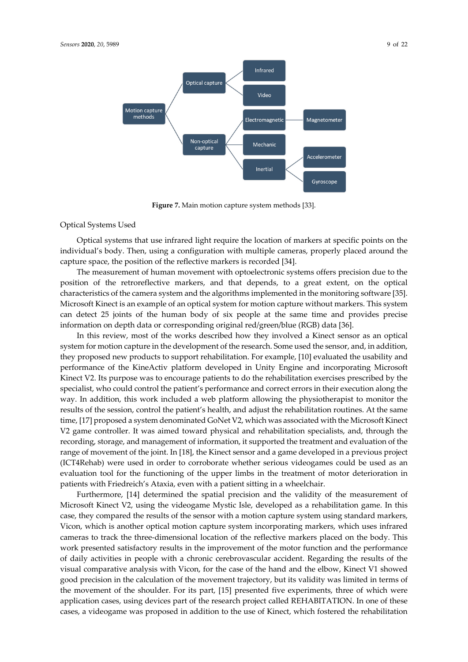

**Figure 7.** Main motion capture system methods [33].

## Optical Systems Used

Optical systems that use infrared light require the location of markers at specific points on the individual's body. Then, using a configuration with multiple cameras, properly placed around the capture space, the position of the reflective markers is recorded [34].

The measurement of human movement with optoelectronic systems offers precision due to the position of the retroreflective markers, and that depends, to a great extent, on the optical characteristics of the camera system and the algorithms implemented in the monitoring software [35]. Microsoft Kinect is an example of an optical system for motion capture without markers. This system can detect 25 joints of the human body of six people at the same time and provides precise information on depth data or corresponding original red/green/blue (RGB) data [36].

In this review, most of the works described how they involved a Kinect sensor as an optical system for motion capture in the development of the research. Some used the sensor, and, in addition, they proposed new products to support rehabilitation. For example, [10] evaluated the usability and performance of the KineActiv platform developed in Unity Engine and incorporating Microsoft Kinect V2. Its purpose was to encourage patients to do the rehabilitation exercises prescribed by the specialist, who could control the patient's performance and correct errors in their execution along the way. In addition, this work included a web platform allowing the physiotherapist to monitor the results of the session, control the patient's health, and adjust the rehabilitation routines. At the same time, [17] proposed a system denominated GoNet V2, which was associated with the Microsoft Kinect V2 game controller. It was aimed toward physical and rehabilitation specialists, and, through the recording, storage, and management of information, it supported the treatment and evaluation of the range of movement of the joint. In [18], the Kinect sensor and a game developed in a previous project (ICT4Rehab) were used in order to corroborate whether serious videogames could be used as an evaluation tool for the functioning of the upper limbs in the treatment of motor deterioration in patients with Friedreich's Ataxia, even with a patient sitting in a wheelchair.

Furthermore, [14] determined the spatial precision and the validity of the measurement of Microsoft Kinect V2, using the videogame Mystic Isle, developed as a rehabilitation game. In this case, they compared the results of the sensor with a motion capture system using standard markers, Vicon, which is another optical motion capture system incorporating markers, which uses infrared cameras to track the three-dimensional location of the reflective markers placed on the body. This work presented satisfactory results in the improvement of the motor function and the performance of daily activities in people with a chronic cerebrovascular accident. Regarding the results of the visual comparative analysis with Vicon, for the case of the hand and the elbow, Kinect V1 showed good precision in the calculation of the movement trajectory, but its validity was limited in terms of the movement of the shoulder. For its part, [15] presented five experiments, three of which were application cases, using devices part of the research project called REHABITATION. In one of these cases, a videogame was proposed in addition to the use of Kinect, which fostered the rehabilitation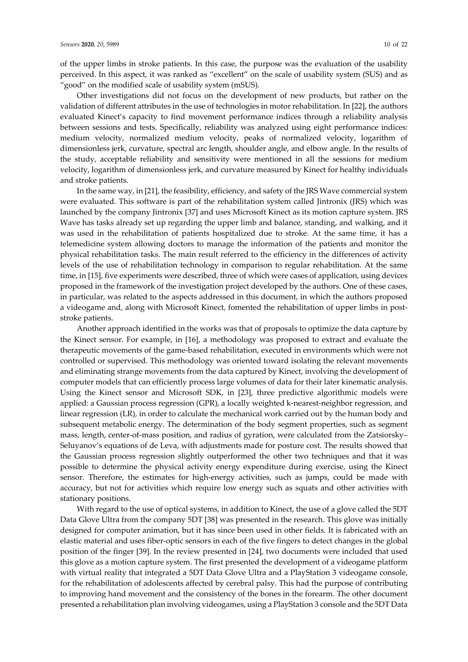of the upper limbs in stroke patients. In this case, the purpose was the evaluation of the usability perceived. In this aspect, it was ranked as "excellent" on the scale of usability system (SUS) and as "good" on the modified scale of usability system (mSUS).

Other investigations did not focus on the development of new products, but rather on the validation of different attributes in the use of technologies in motor rehabilitation. In [22], the authors evaluated Kinect's capacity to find movement performance indices through a reliability analysis between sessions and tests. Specifically, reliability was analyzed using eight performance indices: medium velocity, normalized medium velocity, peaks of normalized velocity, logarithm of dimensionless jerk, curvature, spectral arc length, shoulder angle, and elbow angle. In the results of the study, acceptable reliability and sensitivity were mentioned in all the sessions for medium velocity, logarithm of dimensionless jerk, and curvature measured by Kinect for healthy individuals and stroke patients.

In the same way, in [21], the feasibility, efficiency, and safety of the JRS Wave commercial system were evaluated. This software is part of the rehabilitation system called Jintronix (JRS) which was launched by the company Jintronix [37] and uses Microsoft Kinect as its motion capture system. JRS Wave has tasks already set up regarding the upper limb and balance, standing, and walking, and it was used in the rehabilitation of patients hospitalized due to stroke. At the same time, it has a telemedicine system allowing doctors to manage the information of the patients and monitor the physical rehabilitation tasks. The main result referred to the efficiency in the differences of activity levels of the use of rehabilitation technology in comparison to regular rehabilitation. At the same time, in [15], five experiments were described, three of which were cases of application, using devices proposed in the framework of the investigation project developed by the authors. One of these cases, in particular, was related to the aspects addressed in this document, in which the authors proposed a videogame and, along with Microsoft Kinect, fomented the rehabilitation of upper limbs in poststroke patients.

Another approach identified in the works was that of proposals to optimize the data capture by the Kinect sensor. For example, in [16], a methodology was proposed to extract and evaluate the therapeutic movements of the game-based rehabilitation, executed in environments which were not controlled or supervised. This methodology was oriented toward isolating the relevant movements and eliminating strange movements from the data captured by Kinect, involving the development of computer models that can efficiently process large volumes of data for their later kinematic analysis. Using the Kinect sensor and Microsoft SDK, in [23], three predictive algorithmic models were applied: a Gaussian process regression (GPR), a locally weighted k-nearest-neighbor regression, and linear regression (LR), in order to calculate the mechanical work carried out by the human body and subsequent metabolic energy. The determination of the body segment properties, such as segment mass, length, center-of-mass position, and radius of gyration, were calculated from the Zatsiorsky– Seluyanov's equations of de Leva, with adjustments made for posture cost. The results showed that the Gaussian process regression slightly outperformed the other two techniques and that it was possible to determine the physical activity energy expenditure during exercise, using the Kinect sensor. Therefore, the estimates for high-energy activities, such as jumps, could be made with accuracy, but not for activities which require low energy such as squats and other activities with stationary positions.

With regard to the use of optical systems, in addition to Kinect, the use of a glove called the 5DT Data Glove Ultra from the company 5DT [38] was presented in the research. This glove was initially designed for computer animation, but it has since been used in other fields. It is fabricated with an elastic material and uses fiber-optic sensors in each of the five fingers to detect changes in the global position of the finger [39]. In the review presented in [24], two documents were included that used this glove as a motion capture system. The first presented the development of a videogame platform with virtual reality that integrated a 5DT Data Glove Ultra and a PlayStation 3 videogame console, for the rehabilitation of adolescents affected by cerebral palsy. This had the purpose of contributing to improving hand movement and the consistency of the bones in the forearm. The other document presented a rehabilitation plan involving videogames, using a PlayStation 3 console and the 5DT Data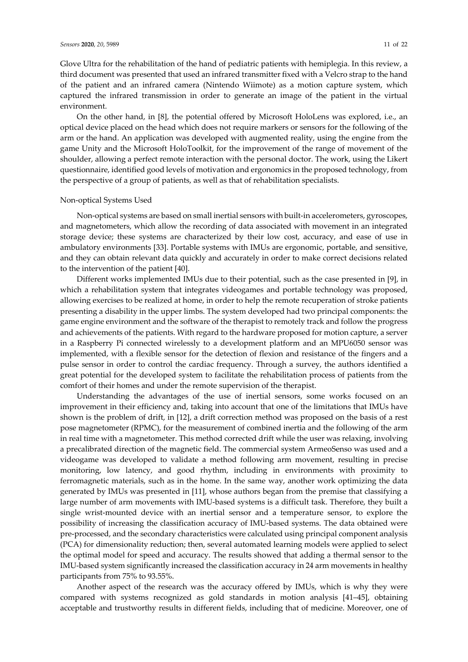Glove Ultra for the rehabilitation of the hand of pediatric patients with hemiplegia. In this review, a third document was presented that used an infrared transmitter fixed with a Velcro strap to the hand of the patient and an infrared camera (Nintendo Wiimote) as a motion capture system, which captured the infrared transmission in order to generate an image of the patient in the virtual environment.

On the other hand, in [8], the potential offered by Microsoft HoloLens was explored, i.e., an optical device placed on the head which does not require markers or sensors for the following of the arm or the hand. An application was developed with augmented reality, using the engine from the game Unity and the Microsoft HoloToolkit, for the improvement of the range of movement of the shoulder, allowing a perfect remote interaction with the personal doctor. The work, using the Likert questionnaire, identified good levels of motivation and ergonomics in the proposed technology, from the perspective of a group of patients, as well as that of rehabilitation specialists.

#### Non-optical Systems Used

Non-optical systems are based on small inertial sensors with built-in accelerometers, gyroscopes, and magnetometers, which allow the recording of data associated with movement in an integrated storage device; these systems are characterized by their low cost, accuracy, and ease of use in ambulatory environments [33]. Portable systems with IMUs are ergonomic, portable, and sensitive, and they can obtain relevant data quickly and accurately in order to make correct decisions related to the intervention of the patient [40].

Different works implemented IMUs due to their potential, such as the case presented in [9], in which a rehabilitation system that integrates videogames and portable technology was proposed, allowing exercises to be realized at home, in order to help the remote recuperation of stroke patients presenting a disability in the upper limbs. The system developed had two principal components: the game engine environment and the software of the therapist to remotely track and follow the progress and achievements of the patients. With regard to the hardware proposed for motion capture, a server in a Raspberry Pi connected wirelessly to a development platform and an MPU6050 sensor was implemented, with a flexible sensor for the detection of flexion and resistance of the fingers and a pulse sensor in order to control the cardiac frequency. Through a survey, the authors identified a great potential for the developed system to facilitate the rehabilitation process of patients from the comfort of their homes and under the remote supervision of the therapist.

Understanding the advantages of the use of inertial sensors, some works focused on an improvement in their efficiency and, taking into account that one of the limitations that IMUs have shown is the problem of drift, in [12], a drift correction method was proposed on the basis of a rest pose magnetometer (RPMC), for the measurement of combined inertia and the following of the arm in real time with a magnetometer. This method corrected drift while the user was relaxing, involving a precalibrated direction of the magnetic field. The commercial system ArmeoSenso was used and a videogame was developed to validate a method following arm movement, resulting in precise monitoring, low latency, and good rhythm, including in environments with proximity to ferromagnetic materials, such as in the home. In the same way, another work optimizing the data generated by IMUs was presented in [11], whose authors began from the premise that classifying a large number of arm movements with IMU-based systems is a difficult task. Therefore, they built a single wrist-mounted device with an inertial sensor and a temperature sensor, to explore the possibility of increasing the classification accuracy of IMU-based systems. The data obtained were pre-processed, and the secondary characteristics were calculated using principal component analysis (PCA) for dimensionality reduction; then, several automated learning models were applied to select the optimal model for speed and accuracy. The results showed that adding a thermal sensor to the IMU-based system significantly increased the classification accuracy in 24 arm movements in healthy participants from 75% to 93.55%.

Another aspect of the research was the accuracy offered by IMUs, which is why they were compared with systems recognized as gold standards in motion analysis [41–45], obtaining acceptable and trustworthy results in different fields, including that of medicine. Moreover, one of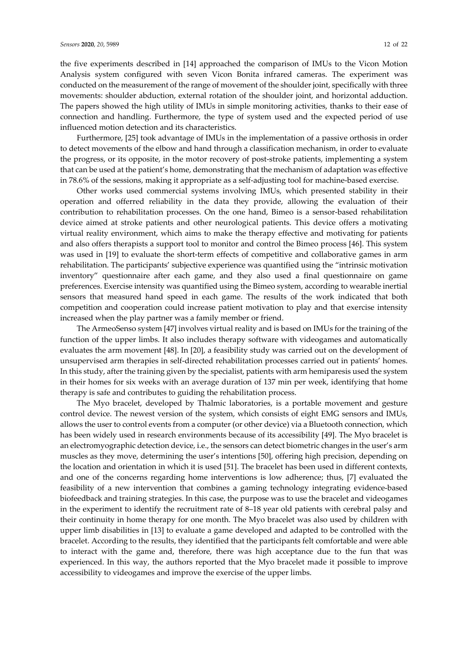the five experiments described in [14] approached the comparison of IMUs to the Vicon Motion Analysis system configured with seven Vicon Bonita infrared cameras. The experiment was conducted on the measurement of the range of movement of the shoulder joint, specifically with three movements: shoulder abduction, external rotation of the shoulder joint, and horizontal adduction. The papers showed the high utility of IMUs in simple monitoring activities, thanks to their ease of connection and handling. Furthermore, the type of system used and the expected period of use influenced motion detection and its characteristics.

Furthermore, [25] took advantage of IMUs in the implementation of a passive orthosis in order to detect movements of the elbow and hand through a classification mechanism, in order to evaluate the progress, or its opposite, in the motor recovery of post-stroke patients, implementing a system that can be used at the patient's home, demonstrating that the mechanism of adaptation was effective in 78.6% of the sessions, making it appropriate as a self-adjusting tool for machine-based exercise.

Other works used commercial systems involving IMUs, which presented stability in their operation and offerred reliability in the data they provide, allowing the evaluation of their contribution to rehabilitation processes. On the one hand, Bimeo is a sensor-based rehabilitation device aimed at stroke patients and other neurological patients. This device offers a motivating virtual reality environment, which aims to make the therapy effective and motivating for patients and also offers therapists a support tool to monitor and control the Bimeo process [46]. This system was used in [19] to evaluate the short-term effects of competitive and collaborative games in arm rehabilitation. The participants' subjective experience was quantified using the "intrinsic motivation inventory" questionnaire after each game, and they also used a final questionnaire on game preferences. Exercise intensity was quantified using the Bimeo system, according to wearable inertial sensors that measured hand speed in each game. The results of the work indicated that both competition and cooperation could increase patient motivation to play and that exercise intensity increased when the play partner was a family member or friend.

The ArmeoSenso system [47] involves virtual reality and is based on IMUs for the training of the function of the upper limbs. It also includes therapy software with videogames and automatically evaluates the arm movement [48]. In [20], a feasibility study was carried out on the development of unsupervised arm therapies in self-directed rehabilitation processes carried out in patients' homes. In this study, after the training given by the specialist, patients with arm hemiparesis used the system in their homes for six weeks with an average duration of 137 min per week, identifying that home therapy is safe and contributes to guiding the rehabilitation process.

The Myo bracelet, developed by Thalmic laboratories, is a portable movement and gesture control device. The newest version of the system, which consists of eight EMG sensors and IMUs, allows the user to control events from a computer (or other device) via a Bluetooth connection, which has been widely used in research environments because of its accessibility [49]. The Myo bracelet is an electromyographic detection device, i.e., the sensors can detect biometric changes in the user's arm muscles as they move, determining the user's intentions [50], offering high precision, depending on the location and orientation in which it is used [51]. The bracelet has been used in different contexts, and one of the concerns regarding home interventions is low adherence; thus, [7] evaluated the feasibility of a new intervention that combines a gaming technology integrating evidence-based biofeedback and training strategies. In this case, the purpose was to use the bracelet and videogames in the experiment to identify the recruitment rate of 8–18 year old patients with cerebral palsy and their continuity in home therapy for one month. The Myo bracelet was also used by children with upper limb disabilities in [13] to evaluate a game developed and adapted to be controlled with the bracelet. According to the results, they identified that the participants felt comfortable and were able to interact with the game and, therefore, there was high acceptance due to the fun that was experienced. In this way, the authors reported that the Myo bracelet made it possible to improve accessibility to videogames and improve the exercise of the upper limbs.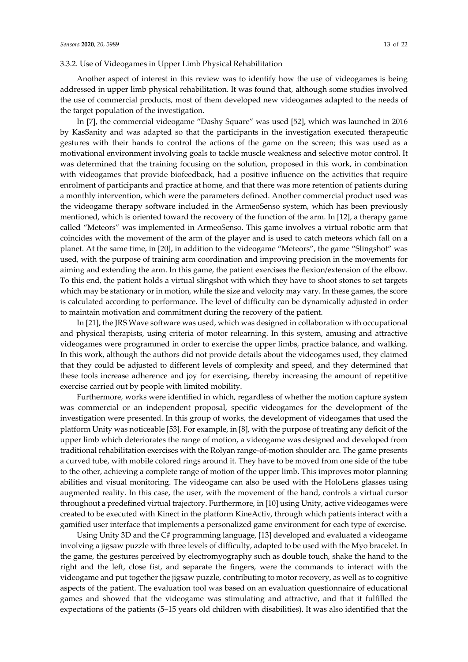### 3.3.2. Use of Videogames in Upper Limb Physical Rehabilitation

Another aspect of interest in this review was to identify how the use of videogames is being addressed in upper limb physical rehabilitation. It was found that, although some studies involved the use of commercial products, most of them developed new videogames adapted to the needs of the target population of the investigation.

In [7], the commercial videogame "Dashy Square" was used [52], which was launched in 2016 by KasSanity and was adapted so that the participants in the investigation executed therapeutic gestures with their hands to control the actions of the game on the screen; this was used as a motivational environment involving goals to tackle muscle weakness and selective motor control. It was determined that the training focusing on the solution, proposed in this work, in combination with videogames that provide biofeedback, had a positive influence on the activities that require enrolment of participants and practice at home, and that there was more retention of patients during a monthly intervention, which were the parameters defined. Another commercial product used was the videogame therapy software included in the ArmeoSenso system, which has been previously mentioned, which is oriented toward the recovery of the function of the arm. In [12], a therapy game called "Meteors" was implemented in ArmeoSenso. This game involves a virtual robotic arm that coincides with the movement of the arm of the player and is used to catch meteors which fall on a planet. At the same time, in [20], in addition to the videogame "Meteors", the game "Slingshot" was used, with the purpose of training arm coordination and improving precision in the movements for aiming and extending the arm. In this game, the patient exercises the flexion/extension of the elbow. To this end, the patient holds a virtual slingshot with which they have to shoot stones to set targets which may be stationary or in motion, while the size and velocity may vary. In these games, the score is calculated according to performance. The level of difficulty can be dynamically adjusted in order to maintain motivation and commitment during the recovery of the patient.

In [21], the JRS Wave software was used, which was designed in collaboration with occupational and physical therapists, using criteria of motor relearning. In this system, amusing and attractive videogames were programmed in order to exercise the upper limbs, practice balance, and walking. In this work, although the authors did not provide details about the videogames used, they claimed that they could be adjusted to different levels of complexity and speed, and they determined that these tools increase adherence and joy for exercising, thereby increasing the amount of repetitive exercise carried out by people with limited mobility.

Furthermore, works were identified in which, regardless of whether the motion capture system was commercial or an independent proposal, specific videogames for the development of the investigation were presented. In this group of works, the development of videogames that used the platform Unity was noticeable [53]. For example, in [8], with the purpose of treating any deficit of the upper limb which deteriorates the range of motion, a videogame was designed and developed from traditional rehabilitation exercises with the Rolyan range-of-motion shoulder arc. The game presents a curved tube, with mobile colored rings around it. They have to be moved from one side of the tube to the other, achieving a complete range of motion of the upper limb. This improves motor planning abilities and visual monitoring. The videogame can also be used with the HoloLens glasses using augmented reality. In this case, the user, with the movement of the hand, controls a virtual cursor throughout a predefined virtual trajectory. Furthermore, in [10] using Unity, active videogames were created to be executed with Kinect in the platform KineActiv, through which patients interact with a gamified user interface that implements a personalized game environment for each type of exercise.

Using Unity 3D and the C# programming language, [13] developed and evaluated a videogame involving a jigsaw puzzle with three levels of difficulty, adapted to be used with the Myo bracelet. In the game, the gestures perceived by electromyography such as double touch, shake the hand to the right and the left, close fist, and separate the fingers, were the commands to interact with the videogame and put together the jigsaw puzzle, contributing to motor recovery, as well as to cognitive aspects of the patient. The evaluation tool was based on an evaluation questionnaire of educational games and showed that the videogame was stimulating and attractive, and that it fulfilled the expectations of the patients (5–15 years old children with disabilities). It was also identified that the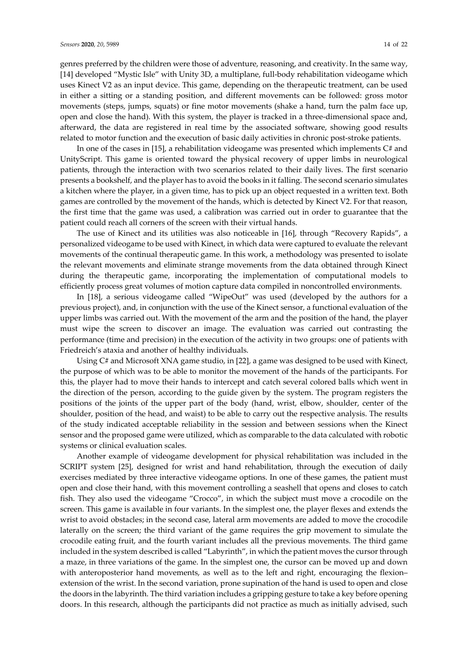genres preferred by the children were those of adventure, reasoning, and creativity. In the same way, [14] developed "Mystic Isle" with Unity 3D, a multiplane, full-body rehabilitation videogame which uses Kinect V2 as an input device. This game, depending on the therapeutic treatment, can be used in either a sitting or a standing position, and different movements can be followed: gross motor movements (steps, jumps, squats) or fine motor movements (shake a hand, turn the palm face up, open and close the hand). With this system, the player is tracked in a three-dimensional space and, afterward, the data are registered in real time by the associated software, showing good results related to motor function and the execution of basic daily activities in chronic post-stroke patients.

In one of the cases in [15], a rehabilitation videogame was presented which implements C# and UnityScript. This game is oriented toward the physical recovery of upper limbs in neurological patients, through the interaction with two scenarios related to their daily lives. The first scenario presents a bookshelf, and the player has to avoid the books in it falling. The second scenario simulates a kitchen where the player, in a given time, has to pick up an object requested in a written text. Both games are controlled by the movement of the hands, which is detected by Kinect V2. For that reason, the first time that the game was used, a calibration was carried out in order to guarantee that the patient could reach all corners of the screen with their virtual hands.

The use of Kinect and its utilities was also noticeable in [16], through "Recovery Rapids", a personalized videogame to be used with Kinect, in which data were captured to evaluate the relevant movements of the continual therapeutic game. In this work, a methodology was presented to isolate the relevant movements and eliminate strange movements from the data obtained through Kinect during the therapeutic game, incorporating the implementation of computational models to efficiently process great volumes of motion capture data compiled in noncontrolled environments.

In [18], a serious videogame called "WipeOut" was used (developed by the authors for a previous project), and, in conjunction with the use of the Kinect sensor, a functional evaluation of the upper limbs was carried out. With the movement of the arm and the position of the hand, the player must wipe the screen to discover an image. The evaluation was carried out contrasting the performance (time and precision) in the execution of the activity in two groups: one of patients with Friedreich's ataxia and another of healthy individuals.

Using C# and Microsoft XNA game studio, in [22], a game was designed to be used with Kinect, the purpose of which was to be able to monitor the movement of the hands of the participants. For this, the player had to move their hands to intercept and catch several colored balls which went in the direction of the person, according to the guide given by the system. The program registers the positions of the joints of the upper part of the body (hand, wrist, elbow, shoulder, center of the shoulder, position of the head, and waist) to be able to carry out the respective analysis. The results of the study indicated acceptable reliability in the session and between sessions when the Kinect sensor and the proposed game were utilized, which as comparable to the data calculated with robotic systems or clinical evaluation scales.

Another example of videogame development for physical rehabilitation was included in the SCRIPT system [25], designed for wrist and hand rehabilitation, through the execution of daily exercises mediated by three interactive videogame options. In one of these games, the patient must open and close their hand, with this movement controlling a seashell that opens and closes to catch fish. They also used the videogame "Crocco", in which the subject must move a crocodile on the screen. This game is available in four variants. In the simplest one, the player flexes and extends the wrist to avoid obstacles; in the second case, lateral arm movements are added to move the crocodile laterally on the screen; the third variant of the game requires the grip movement to simulate the crocodile eating fruit, and the fourth variant includes all the previous movements. The third game included in the system described is called "Labyrinth", in which the patient moves the cursor through a maze, in three variations of the game. In the simplest one, the cursor can be moved up and down with anteroposterior hand movements, as well as to the left and right, encouraging the flexion– extension of the wrist. In the second variation, prone supination of the hand is used to open and close the doors in the labyrinth. The third variation includes a gripping gesture to take a key before opening doors. In this research, although the participants did not practice as much as initially advised, such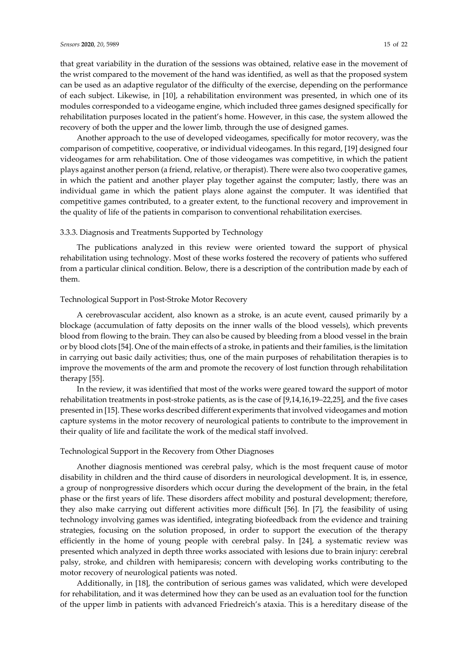that great variability in the duration of the sessions was obtained, relative ease in the movement of the wrist compared to the movement of the hand was identified, as well as that the proposed system can be used as an adaptive regulator of the difficulty of the exercise, depending on the performance of each subject. Likewise, in [10], a rehabilitation environment was presented, in which one of its modules corresponded to a videogame engine, which included three games designed specifically for rehabilitation purposes located in the patient's home. However, in this case, the system allowed the recovery of both the upper and the lower limb, through the use of designed games.

Another approach to the use of developed videogames, specifically for motor recovery, was the comparison of competitive, cooperative, or individual videogames. In this regard, [19] designed four videogames for arm rehabilitation. One of those videogames was competitive, in which the patient plays against another person (a friend, relative, or therapist). There were also two cooperative games, in which the patient and another player play together against the computer; lastly, there was an individual game in which the patient plays alone against the computer. It was identified that competitive games contributed, to a greater extent, to the functional recovery and improvement in the quality of life of the patients in comparison to conventional rehabilitation exercises.

#### 3.3.3. Diagnosis and Treatments Supported by Technology

The publications analyzed in this review were oriented toward the support of physical rehabilitation using technology. Most of these works fostered the recovery of patients who suffered from a particular clinical condition. Below, there is a description of the contribution made by each of them.

#### Technological Support in Post-Stroke Motor Recovery

A cerebrovascular accident, also known as a stroke, is an acute event, caused primarily by a blockage (accumulation of fatty deposits on the inner walls of the blood vessels), which prevents blood from flowing to the brain. They can also be caused by bleeding from a blood vessel in the brain or by blood clots [54]. One of the main effects of a stroke, in patients and their families, is the limitation in carrying out basic daily activities; thus, one of the main purposes of rehabilitation therapies is to improve the movements of the arm and promote the recovery of lost function through rehabilitation therapy [55].

In the review, it was identified that most of the works were geared toward the support of motor rehabilitation treatments in post-stroke patients, as is the case of [9,14,16,19–22,25], and the five cases presented in [15]. These works described different experiments that involved videogames and motion capture systems in the motor recovery of neurological patients to contribute to the improvement in their quality of life and facilitate the work of the medical staff involved.

#### Technological Support in the Recovery from Other Diagnoses

Another diagnosis mentioned was cerebral palsy, which is the most frequent cause of motor disability in children and the third cause of disorders in neurological development. It is, in essence, a group of nonprogressive disorders which occur during the development of the brain, in the fetal phase or the first years of life. These disorders affect mobility and postural development; therefore, they also make carrying out different activities more difficult [56]. In [7], the feasibility of using technology involving games was identified, integrating biofeedback from the evidence and training strategies, focusing on the solution proposed, in order to support the execution of the therapy efficiently in the home of young people with cerebral palsy. In [24], a systematic review was presented which analyzed in depth three works associated with lesions due to brain injury: cerebral palsy, stroke, and children with hemiparesis; concern with developing works contributing to the motor recovery of neurological patients was noted.

Additionally, in [18], the contribution of serious games was validated, which were developed for rehabilitation, and it was determined how they can be used as an evaluation tool for the function of the upper limb in patients with advanced Friedreich's ataxia. This is a hereditary disease of the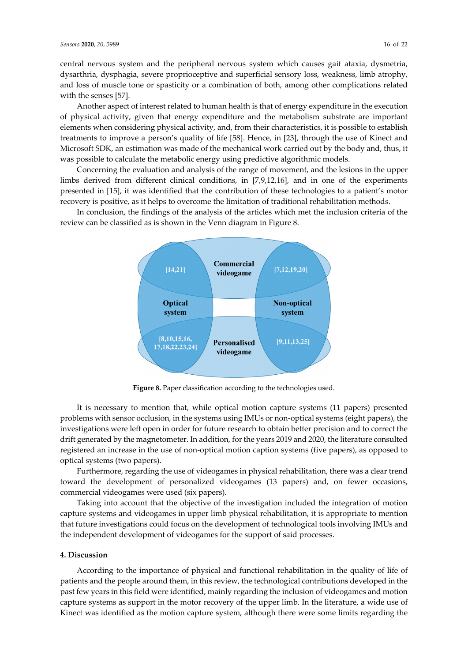central nervous system and the peripheral nervous system which causes gait ataxia, dysmetria, dysarthria, dysphagia, severe proprioceptive and superficial sensory loss, weakness, limb atrophy, and loss of muscle tone or spasticity or a combination of both, among other complications related with the senses [57].

Another aspect of interest related to human health is that of energy expenditure in the execution of physical activity, given that energy expenditure and the metabolism substrate are important elements when considering physical activity, and, from their characteristics, it is possible to establish treatments to improve a person's quality of life [58]. Hence, in [23], through the use of Kinect and Microsoft SDK, an estimation was made of the mechanical work carried out by the body and, thus, it was possible to calculate the metabolic energy using predictive algorithmic models.

Concerning the evaluation and analysis of the range of movement, and the lesions in the upper limbs derived from different clinical conditions, in [7,9,12,16], and in one of the experiments presented in [15], it was identified that the contribution of these technologies to a patient's motor recovery is positive, as it helps to overcome the limitation of traditional rehabilitation methods.

In conclusion, the findings of the analysis of the articles which met the inclusion criteria of the review can be classified as is shown in the Venn diagram in Figure 8.



Figure 8. Paper classification according to the technologies used.

It is necessary to mention that, while optical motion capture systems (11 papers) presented problems with sensor occlusion, in the systems using IMUs or non-optical systems (eight papers), the investigations were left open in order for future research to obtain better precision and to correct the drift generated by the magnetometer. In addition, for the years 2019 and 2020, the literature consulted registered an increase in the use of non-optical motion caption systems (five papers), as opposed to optical systems (two papers).

Furthermore, regarding the use of videogames in physical rehabilitation, there was a clear trend toward the development of personalized videogames (13 papers) and, on fewer occasions, commercial videogames were used (six papers).

Taking into account that the objective of the investigation included the integration of motion capture systems and videogames in upper limb physical rehabilitation, it is appropriate to mention that future investigations could focus on the development of technological tools involving IMUs and the independent development of videogames for the support of said processes.

# **4. Discussion**

According to the importance of physical and functional rehabilitation in the quality of life of patients and the people around them, in this review, the technological contributions developed in the past few years in this field were identified, mainly regarding the inclusion of videogames and motion capture systems as support in the motor recovery of the upper limb. In the literature, a wide use of Kinect was identified as the motion capture system, although there were some limits regarding the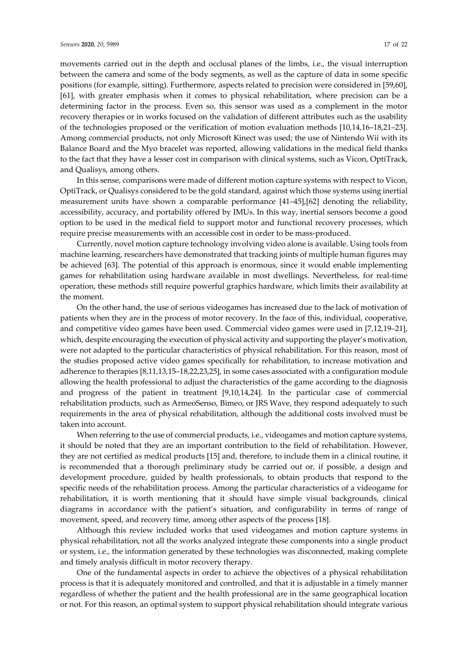movements carried out in the depth and occlusal planes of the limbs, i.e., the visual interruption between the camera and some of the body segments, as well as the capture of data in some specific positions (for example, sitting). Furthermore, aspects related to precision were considered in [59,60], [61], with greater emphasis when it comes to physical rehabilitation, where precision can be a determining factor in the process. Even so, this sensor was used as a complement in the motor recovery therapies or in works focused on the validation of different attributes such as the usability of the technologies proposed or the verification of motion evaluation methods [10,14,16–18,21–23]. Among commercial products, not only Microsoft Kinect was used; the use of Nintendo Wii with its Balance Board and the Myo bracelet was reported, allowing validations in the medical field thanks to the fact that they have a lesser cost in comparison with clinical systems, such as Vicon, OptiTrack, and Qualisys, among others.

In this sense, comparisons were made of different motion capture systems with respect to Vicon, OptiTrack, or Qualisys considered to be the gold standard, against which those systems using inertial measurement units have shown a comparable performance [41–45],[62] denoting the reliability, accessibility, accuracy, and portability offered by IMUs. In this way, inertial sensors become a good option to be used in the medical field to support motor and functional recovery processes, which require precise measurements with an accessible cost in order to be mass-produced.

Currently, novel motion capture technology involving video alone is available. Using tools from machine learning, researchers have demonstrated that tracking joints of multiple human figures may be achieved [63]. The potential of this approach is enormous, since it would enable implementing games for rehabilitation using hardware available in most dwellings. Nevertheless, for real-time operation, these methods still require powerful graphics hardware, which limits their availability at the moment.

On the other hand, the use of serious videogames has increased due to the lack of motivation of patients when they are in the process of motor recovery. In the face of this, individual, cooperative, and competitive video games have been used. Commercial video games were used in [7,12,19–21], which, despite encouraging the execution of physical activity and supporting the player's motivation, were not adapted to the particular characteristics of physical rehabilitation. For this reason, most of the studies proposed active video games specifically for rehabilitation, to increase motivation and adherence to therapies [8,11,13,15–18,22,23,25], in some cases associated with a configuration module allowing the health professional to adjust the characteristics of the game according to the diagnosis and progress of the patient in treatment [9,10,14,24]. In the particular case of commercial rehabilitation products, such as ArmeoSenso, Bimeo, or JRS Wave, they respond adequately to such requirements in the area of physical rehabilitation, although the additional costs involved must be taken into account.

When referring to the use of commercial products, i.e., videogames and motion capture systems, it should be noted that they are an important contribution to the field of rehabilitation. However, they are not certified as medical products [15] and, therefore, to include them in a clinical routine, it is recommended that a thorough preliminary study be carried out or, if possible, a design and development procedure, guided by health professionals, to obtain products that respond to the specific needs of the rehabilitation process. Among the particular characteristics of a videogame for rehabilitation, it is worth mentioning that it should have simple visual backgrounds, clinical diagrams in accordance with the patient's situation, and configurability in terms of range of movement, speed, and recovery time, among other aspects of the process [18].

Although this review included works that used videogames and motion capture systems in physical rehabilitation, not all the works analyzed integrate these components into a single product or system, i.e., the information generated by these technologies was disconnected, making complete and timely analysis difficult in motor recovery therapy.

One of the fundamental aspects in order to achieve the objectives of a physical rehabilitation process is that it is adequately monitored and controlled, and that it is adjustable in a timely manner regardless of whether the patient and the health professional are in the same geographical location or not. For this reason, an optimal system to support physical rehabilitation should integrate various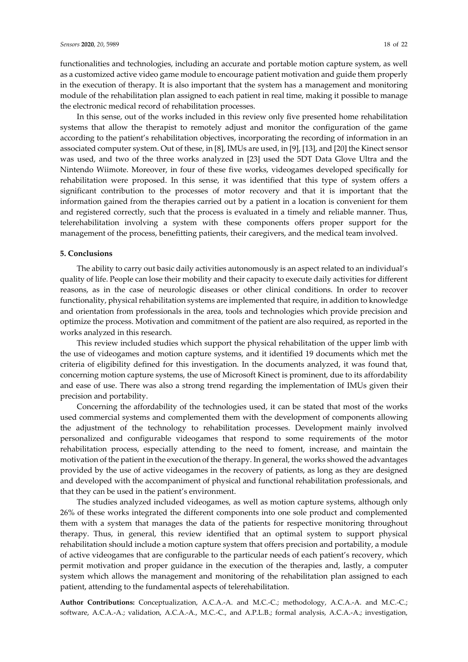functionalities and technologies, including an accurate and portable motion capture system, as well as a customized active video game module to encourage patient motivation and guide them properly in the execution of therapy. It is also important that the system has a management and monitoring module of the rehabilitation plan assigned to each patient in real time, making it possible to manage the electronic medical record of rehabilitation processes.

In this sense, out of the works included in this review only five presented home rehabilitation systems that allow the therapist to remotely adjust and monitor the configuration of the game according to the patient's rehabilitation objectives, incorporating the recording of information in an associated computer system. Out of these, in [8], IMUs are used, in [9], [13], and [20] the Kinect sensor was used, and two of the three works analyzed in [23] used the 5DT Data Glove Ultra and the Nintendo Wiimote. Moreover, in four of these five works, videogames developed specifically for rehabilitation were proposed. In this sense, it was identified that this type of system offers a significant contribution to the processes of motor recovery and that it is important that the information gained from the therapies carried out by a patient in a location is convenient for them and registered correctly, such that the process is evaluated in a timely and reliable manner. Thus, telerehabilitation involving a system with these components offers proper support for the management of the process, benefitting patients, their caregivers, and the medical team involved.

#### **5. Conclusions**

The ability to carry out basic daily activities autonomously is an aspect related to an individual's quality of life. People can lose their mobility and their capacity to execute daily activities for different reasons, as in the case of neurologic diseases or other clinical conditions. In order to recover functionality, physical rehabilitation systems are implemented that require, in addition to knowledge and orientation from professionals in the area, tools and technologies which provide precision and optimize the process. Motivation and commitment of the patient are also required, as reported in the works analyzed in this research.

This review included studies which support the physical rehabilitation of the upper limb with the use of videogames and motion capture systems, and it identified 19 documents which met the criteria of eligibility defined for this investigation. In the documents analyzed, it was found that, concerning motion capture systems, the use of Microsoft Kinect is prominent, due to its affordability and ease of use. There was also a strong trend regarding the implementation of IMUs given their precision and portability.

Concerning the affordability of the technologies used, it can be stated that most of the works used commercial systems and complemented them with the development of components allowing the adjustment of the technology to rehabilitation processes. Development mainly involved personalized and configurable videogames that respond to some requirements of the motor rehabilitation process, especially attending to the need to foment, increase, and maintain the motivation of the patient in the execution of the therapy. In general, the works showed the advantages provided by the use of active videogames in the recovery of patients, as long as they are designed and developed with the accompaniment of physical and functional rehabilitation professionals, and that they can be used in the patient's environment.

The studies analyzed included videogames, as well as motion capture systems, although only 26% of these works integrated the different components into one sole product and complemented them with a system that manages the data of the patients for respective monitoring throughout therapy. Thus, in general, this review identified that an optimal system to support physical rehabilitation should include a motion capture system that offers precision and portability, a module of active videogames that are configurable to the particular needs of each patient's recovery, which permit motivation and proper guidance in the execution of the therapies and, lastly, a computer system which allows the management and monitoring of the rehabilitation plan assigned to each patient, attending to the fundamental aspects of telerehabilitation.

**Author Contributions:** Conceptualization, A.C.A.-A. and M.C.-C.; methodology, A.C.A.-A. and M.C.-C.; software, A.C.A.-A.; validation, A.C.A.-A., M.C.-C., and A.P.L.B.; formal analysis, A.C.A.-A.; investigation,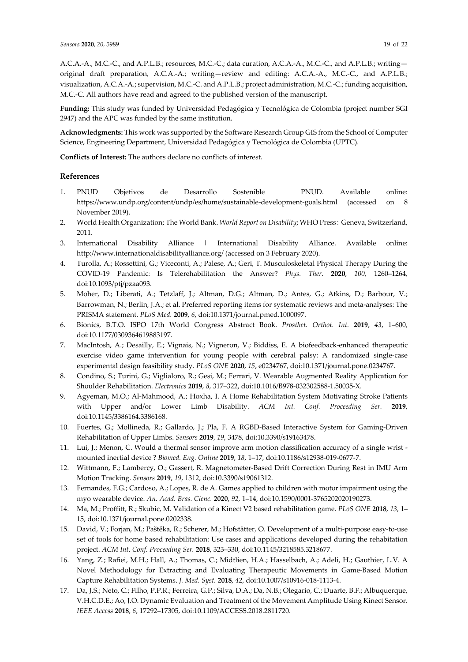A.C.A.-A., M.C.-C., and A.P.L.B.; resources, M.C.-C.; data curation, A.C.A.-A., M.C.-C., and A.P.L.B.; writing original draft preparation, A.C.A.-A.; writing—review and editing: A.C.A.-A., M.C.-C., and A.P.L.B.; visualization, A.C.A.-A.; supervision, M.C.-C. and A.P.L.B.; project administration, M.C.-C.; funding acquisition, M.C.-C. All authors have read and agreed to the published version of the manuscript.

**Funding:** This study was funded by Universidad Pedagógica y Tecnológica de Colombia (project number SGI 2947) and the APC was funded by the same institution.

**Acknowledgments:** This work was supported by the Software Research Group GIS from the School of Computer Science, Engineering Department, Universidad Pedagógica y Tecnológica de Colombia (UPTC).

**Conflicts of Interest:** The authors declare no conflicts of interest.

## **References**

- 1. PNUD Objetivos de Desarrollo Sostenible | PNUD. Available online: https://www.undp.org/content/undp/es/home/sustainable-development-goals.html (accessed on 8 November 2019).
- 2. World Health Organization; The World Bank. *World Report on Disability*; WHO Press: Geneva, Switzerland, 2011.
- 3. International Disability Alliance | International Disability Alliance. Available online: http://www.internationaldisabilityalliance.org/ (accessed on 3 February 2020).
- 4. Turolla, A.; Rossettini, G.; Viceconti, A.; Palese, A.; Geri, T. Musculoskeletal Physical Therapy During the COVID-19 Pandemic: Is Telerehabilitation the Answer? *Phys. Ther.* **2020**, *100*, 1260–1264, doi:10.1093/ptj/pzaa093.
- 5. Moher, D.; Liberati, A.; Tetzlaff, J.; Altman, D.G.; Altman, D.; Antes, G.; Atkins, D.; Barbour, V.; Barrowman, N.; Berlin, J.A.; et al. Preferred reporting items for systematic reviews and meta-analyses: The PRISMA statement. *PLoS Med.* **2009**, *6*, doi:10.1371/journal.pmed.1000097.
- 6. Bionics, B.T.O. ISPO 17th World Congress Abstract Book. *Prosthet. Orthot. Int.* **2019**, *43*, 1–600, doi:10.1177/0309364619883197.
- 7. MacIntosh, A.; Desailly, E.; Vignais, N.; Vigneron, V.; Biddiss, E. A biofeedback-enhanced therapeutic exercise video game intervention for young people with cerebral palsy: A randomized single-case experimental design feasibility study. *PLoS ONE* **2020**, *15*, e0234767, doi:10.1371/journal.pone.0234767.
- 8. Condino, S.; Turini, G.; Viglialoro, R.; Gesi, M.; Ferrari, V. Wearable Augmented Reality Application for Shoulder Rehabilitation. *Electronics* **2019**, *8*, 317–322, doi:10.1016/B978-032302588-1.50035-X.
- 9. Agyeman, M.O.; Al-Mahmood, A.; Hoxha, I. A Home Rehabilitation System Motivating Stroke Patients with Upper and/or Lower Limb Disability. *ACM Int. Conf. Proceeding Ser.* **2019**, doi:10.1145/3386164.3386168.
- 10. Fuertes, G.; Mollineda, R.; Gallardo, J.; Pla, F. A RGBD-Based Interactive System for Gaming-Driven Rehabilitation of Upper Limbs. *Sensors* **2019**, *19*, 3478, doi:10.3390/s19163478.
- 11. Lui, J.; Menon, C. Would a thermal sensor improve arm motion classification accuracy of a single wrist mounted inertial device ? *Biomed. Eng. Online* **2019**, *18*, 1–17, doi:10.1186/s12938-019-0677-7.
- 12. Wittmann, F.; Lambercy, O.; Gassert, R. Magnetometer-Based Drift Correction During Rest in IMU Arm Motion Tracking. *Sensors* **2019**, *19*, 1312, doi:10.3390/s19061312.
- 13. Fernandes, F.G.; Cardoso, A.; Lopes, R. de A. Games applied to children with motor impairment using the myo wearable device. *An. Acad. Bras. Cienc.* **2020**, *92*, 1–14, doi:10.1590/0001-3765202020190273.
- 14. Ma, M.; Proffitt, R.; Skubic, M. Validation of a Kinect V2 based rehabilitation game. *PLoS ONE* **2018**, *13*, 1– 15, doi:10.1371/journal.pone.0202338.
- 15. David, V.; Forjan, M.; Paštěka, R.; Scherer, M.; Hofstätter, O. Development of a multi-purpose easy-to-use set of tools for home based rehabilitation: Use cases and applications developed during the rehabitation project. *ACM Int. Conf. Proceeding Ser.* **2018**, 323–330, doi:10.1145/3218585.3218677.
- 16. Yang, Z.; Rafiei, M.H.; Hall, A.; Thomas, C.; Midtlien, H.A.; Hasselbach, A.; Adeli, H.; Gauthier, L.V. A Novel Methodology for Extracting and Evaluating Therapeutic Movements in Game-Based Motion Capture Rehabilitation Systems. *J. Med. Syst.* **2018**, *42*, doi:10.1007/s10916-018-1113-4.
- 17. Da, J.S.; Neto, C.; Filho, P.P.R.; Ferreira, G.P.; Silva, D.A.; Da, N.B.; Olegario, C.; Duarte, B.F.; Albuquerque, V.H.C.D.E.; Ao, J.O. Dynamic Evaluation and Treatment of the Movement Amplitude Using Kinect Sensor. *IEEE Access* **2018**, *6*, 17292–17305, doi:10.1109/ACCESS.2018.2811720.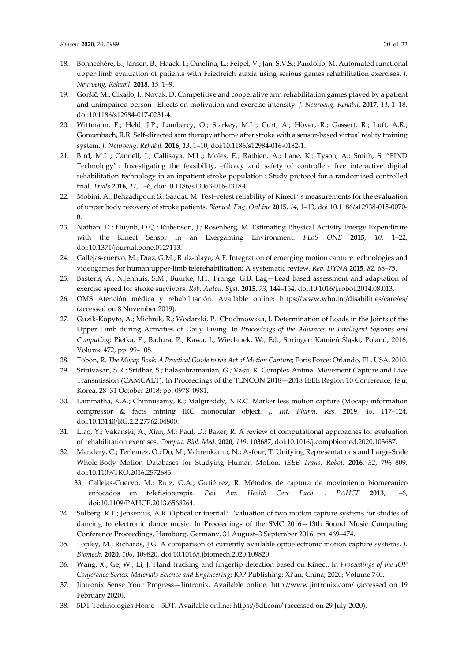- 18. Bonnechère, B.; Jansen, B.; Haack, I.; Omelina, L.; Feipel, V.; Jan, S.V.S.; Pandolfo, M. Automated functional upper limb evaluation of patients with Friedreich ataxia using serious games rehabilitation exercises. *J. Neuroeng. Rehabil.* **2018**, *15*, 1–9.
- 19. Goršič, M.; Cikajlo, I.; Novak, D. Competitive and cooperative arm rehabilitation games played by a patient and unimpaired person : Effects on motivation and exercise intensity. *J. Neuroeng. Rehabil.* **2017**, *14*, 1–18, doi:10.1186/s12984-017-0231-4.
- 20. Wittmann, F.; Held, J.P.; Lambercy, O.; Starkey, M.L.; Curt, A.; Höver, R.; Gassert, R.; Luft, A.R.; Gonzenbach, R.R. Self-directed arm therapy at home after stroke with a sensor-based virtual reality training system. *J. Neuroeng. Rehabil.* **2016**, *13*, 1–10, doi:10.1186/s12984-016-0182-1.
- 21. Bird, M.L.; Cannell, J.; Callisaya, M.L.; Moles, E.; Rathjen, A.; Lane, K.; Tyson, A.; Smith, S. "FIND Technology" : Investigating the feasibility, efficacy and safety of controller- free interactive digital rehabilitation technology in an inpatient stroke population : Study protocol for a randomized controlled trial. *Trials* **2016**, *17*, 1–6, doi:10.1186/s13063-016-1318-0.
- 22. Mobini, A.; Behzadipour, S.; Saadat, M. Test–retest reliability of Kinect ' s measurements for the evaluation of upper body recovery of stroke patients. *Biomed. Eng. OnLine* **2015**, *14*, 1–13, doi:10.1186/s12938-015-0070- 0.
- 23. Nathan, D.; Huynh, D.Q.; Rubenson, J.; Rosenberg, M. Estimating Physical Activity Energy Expenditure with the Kinect Sensor in an Exergaming Environment. *PLoS ONE* **2015**, *10*, 1–22, doi:10.1371/journal.pone.0127113.
- 24. Callejas-cuervo, M.; Díaz, G.M.; Ruíz-olaya, A.F. Integration of emerging motion capture technologies and videogames for human upper-limb telerehabilitation: A systematic review. *Rev. DYNA* **2015**, *82*, 68–75.
- 25. Basteris, A.; Nijenhuis, S.M.; Buurke, J.H.; Prange, G.B. Lag—Lead based assessment and adaptation of exercise speed for stroke survivors. *Rob. Auton. Syst.* **2015**, *73*, 144–154, doi:10.1016/j.robot.2014.08.013.
- 26. OMS Atención médica y rehabilitación. Available online: https://www.who.int/disabilities/care/es/ (accessed on 8 November 2019).
- 27. Guzik-Kopyto, A.; Michnik, R.; Wodarski, P.; Chuchnowska, I. Determination of Loads in the Joints of the Upper Limb during Activities of Daily Living. In *Proceedings of the Advances in Intelligent Systems and Computing*; Piętka, E., Badura, P., Kawa, J., Wieclauek, W., Ed.; Springer: Kamień Śląski, Poland, 2016; Volume 472, pp. 99–108.
- 28. Tobón, R. *The Mocap Book: A Practical Guide to the Art of Motion Capture*; Foris Force: Orlando, FL, USA, 2010.
- 29. Srinivasan, S.R.; Sridhar, S.; Balasubramanian, G.; Vasu, K. Complex Animal Movement Capture and Live Transmission (CAMCALT). In Proceedings of the TENCON 2018—2018 IEEE Region 10 Conference, Jeju, Korea, 28–31 October 2018; pp. 0978–0981.
- 30. Lammatha, K.A.; Chinnusamy, K.; Malgireddy, N.R.C. Marker less motion capture (Mocap) information compressor & facts mining IRC monocular object. *J. Int. Pharm. Res.* **2019**, *46*, 117–124, doi:10.13140/RG.2.2.27762.04800.
- 31. Liao, Y.; Vakanski, A.; Xian, M.; Paul, D.; Baker, R. A review of computational approaches for evaluation of rehabilitation exercises. *Comput. Biol. Med.* **2020**, *119*, 103687, doi:10.1016/j.compbiomed.2020.103687.
- 32. Mandery, C.; Terlemez, Ö.; Do, M.; Vahrenkamp, N.; Asfour, T. Unifying Representations and Large-Scale Whole-Body Motion Databases for Studying Human Motion. *IEEE Trans. Robot.* **2016**, *32*, 796–809, doi:10.1109/TRO.2016.2572685.
	- 33. Callejas-Cuervo, M.; Ruiz, O.A.; Gutiérrez, R. Métodos de captura de movimiento biomecánico enfocados en telefisioterapia. *Pan Am. Health Care Exch. . PAHCE* **2013**, 1–6, doi:10.1109/PAHCE.2013.6568264.
- 34. Solberg, R.T.; Jensenius, A.R. Optical or inertial? Evaluation of two motion capture systems for studies of dancing to electronic dance music. In Proceedings of the SMC 2016—13th Sound Music Computing Conference Proceedings, Hamburg, Germany, 31 August–3 September 2016; pp. 469–474.
- 35. Topley, M.; Richards, J.G. A comparison of currently available optoelectronic motion capture systems. *J. Biomech.* **2020**, *106*, 109820, doi:10.1016/j.jbiomech.2020.109820.
- 36. Wang, X.; Ge, W.; Li, J. Hand tracking and fingertip detection based on Kinect. In *Proceedings of the IOP Conference Series: Materials Science and Engineering*; IOP Publishing: Xi'an, China, 2020; Volume 740.
- 37. Jintronix Sense Your Progress—Jintronix. Available online: http://www.jintronix.com/ (accessed on 19 February 2020).
- 38. 5DT Technologies Home—5DT. Available online: https://5dt.com/ (accessed on 29 July 2020).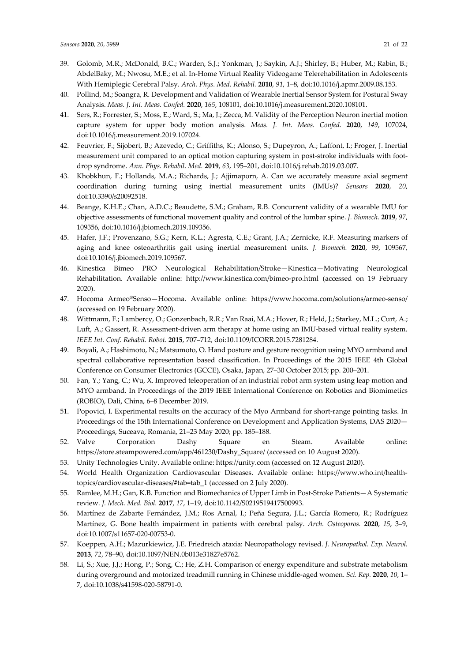- 39. Golomb, M.R.; McDonald, B.C.; Warden, S.J.; Yonkman, J.; Saykin, A.J.; Shirley, B.; Huber, M.; Rabin, B.; AbdelBaky, M.; Nwosu, M.E.; et al. In-Home Virtual Reality Videogame Telerehabilitation in Adolescents With Hemiplegic Cerebral Palsy. *Arch. Phys. Med. Rehabil.* **2010**, *91*, 1–8, doi:10.1016/j.apmr.2009.08.153.
- 40. Pollind, M.; Soangra, R. Development and Validation of Wearable Inertial Sensor System for Postural Sway Analysis. *Meas. J. Int. Meas. Confed.* **2020**, *165*, 108101, doi:10.1016/j.measurement.2020.108101.
- 41. Sers, R.; Forrester, S.; Moss, E.; Ward, S.; Ma, J.; Zecca, M. Validity of the Perception Neuron inertial motion capture system for upper body motion analysis. *Meas. J. Int. Meas. Confed.* **2020**, *149*, 107024, doi:10.1016/j.measurement.2019.107024.
- 42. Feuvrier, F.; Sijobert, B.; Azevedo, C.; Griffiths, K.; Alonso, S.; Dupeyron, A.; Laffont, I.; Froger, J. Inertial measurement unit compared to an optical motion capturing system in post-stroke individuals with footdrop syndrome. *Ann. Phys. Rehabil. Med.* **2019**, *63*, 195–201, doi:10.1016/j.rehab.2019.03.007.
- 43. Khobkhun, F.; Hollands, M.A.; Richards, J.; Ajjimaporn, A. Can we accurately measure axial segment coordination during turning using inertial measurement units (IMUs)? *Sensors* **2020**, *20*, doi:10.3390/s20092518.
- 44. Beange, K.H.E.; Chan, A.D.C.; Beaudette, S.M.; Graham, R.B. Concurrent validity of a wearable IMU for objective assessments of functional movement quality and control of the lumbar spine. *J. Biomech.* **2019**, *97*, 109356, doi:10.1016/j.jbiomech.2019.109356.
- 45. Hafer, J.F.; Provenzano, S.G.; Kern, K.L.; Agresta, C.E.; Grant, J.A.; Zernicke, R.F. Measuring markers of aging and knee osteoarthritis gait using inertial measurement units. *J. Biomech.* **2020**, *99*, 109567, doi:10.1016/j.jbiomech.2019.109567.
- 46. Kinestica Bimeo PRO Neurological Rehabilitation/Stroke—Kinestica—Motivating Neurological Rehabilitation. Available online: http://www.kinestica.com/bimeo-pro.html (accessed on 19 February 2020).
- 47. Hocoma Armeo®Senso—Hocoma. Available online: https://www.hocoma.com/solutions/armeo-senso/ (accessed on 19 February 2020).
- 48. Wittmann, F.; Lambercy, O.; Gonzenbach, R.R.; Van Raai, M.A.; Hover, R.; Held, J.; Starkey, M.L.; Curt, A.; Luft, A.; Gassert, R. Assessment-driven arm therapy at home using an IMU-based virtual reality system. *IEEE Int. Conf. Rehabil. Robot.* **2015**, 707–712, doi:10.1109/ICORR.2015.7281284.
- 49. Boyali, A.; Hashimoto, N.; Matsumoto, O. Hand posture and gesture recognition using MYO armband and spectral collaborative representation based classification. In Proceedings of the 2015 IEEE 4th Global Conference on Consumer Electronics (GCCE), Osaka, Japan, 27–30 October 2015; pp. 200–201.
- 50. Fan, Y.; Yang, C.; Wu, X. Improved teleoperation of an industrial robot arm system using leap motion and MYO armband. In Proceedings of the 2019 IEEE International Conference on Robotics and Biomimetics (ROBIO), Dali, China, 6–8 December 2019.
- 51. Popovici, I. Experimental results on the accuracy of the Myo Armband for short-range pointing tasks. In Proceedings of the 15th International Conference on Development and Application Systems, DAS 2020— Proceedings, Suceava, Romania, 21–23 May 2020; pp. 185–188.
- 52. Valve Corporation Dashy Square en Steam. Available online: https://store.steampowered.com/app/461230/Dashy\_Square/ (accessed on 10 August 2020).
- 53. Unity Technologies Unity. Available online: https://unity.com (accessed on 12 August 2020).
- 54. World Health Organization Cardiovascular Diseases. Available online: https://www.who.int/healthtopics/cardiovascular-diseases/#tab=tab\_1 (accessed on 2 July 2020).
- 55. Ramlee, M.H.; Gan, K.B. Function and Biomechanics of Upper Limb in Post-Stroke Patients—A Systematic review. *J. Mech. Med. Biol.* **2017**, *17*, 1–19, doi:10.1142/S0219519417500993.
- 56. Martínez de Zabarte Fernández, J.M.; Ros Arnal, I.; Peña Segura, J.L.; García Romero, R.; Rodríguez Martínez, G. Bone health impairment in patients with cerebral palsy. *Arch. Osteoporos.* **2020**, *15*, 3–9, doi:10.1007/s11657-020-00753-0.
- 57. Koeppen, A.H.; Mazurkiewicz, J.E. Friedreich ataxia: Neuropathology revised. *J. Neuropathol. Exp. Neurol.* **2013**, *72*, 78–90, doi:10.1097/NEN.0b013e31827e5762.
- 58. Li, S.; Xue, J.J.; Hong, P.; Song, C.; He, Z.H. Comparison of energy expenditure and substrate metabolism during overground and motorized treadmill running in Chinese middle-aged women. *Sci. Rep.* **2020**, *10*, 1– 7, doi:10.1038/s41598-020-58791-0.